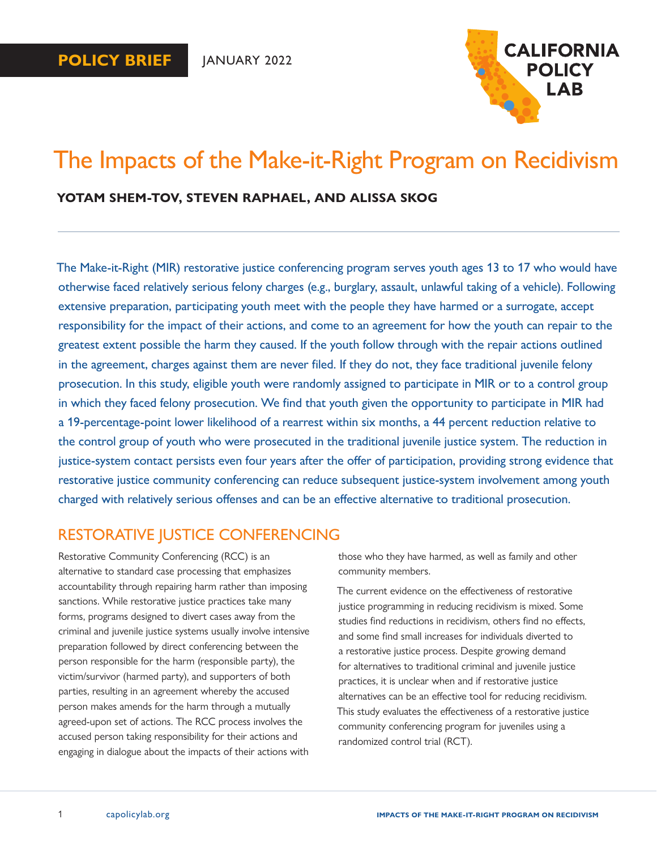

# The Impacts of the Make-it-Right Program on Recidivism

## **YOTAM SHEM-TOV, STEVEN RAPHAEL, AND ALISSA SKOG**

The Make-it-Right (MIR) restorative justice conferencing program serves youth ages 13 to 17 who would have otherwise faced relatively serious felony charges (e.g., burglary, assault, unlawful taking of a vehicle). Following extensive preparation, participating youth meet with the people they have harmed or a surrogate, accept responsibility for the impact of their actions, and come to an agreement for how the youth can repair to the greatest extent possible the harm they caused. If the youth follow through with the repair actions outlined in the agreement, charges against them are never filed. If they do not, they face traditional juvenile felony prosecution. In this study, eligible youth were randomly assigned to participate in MIR or to a control group in which they faced felony prosecution. We find that youth given the opportunity to participate in MIR had a 19-percentage-point lower likelihood of a rearrest within six months, a 44 percent reduction relative to the control group of youth who were prosecuted in the traditional juvenile justice system. The reduction in justice-system contact persists even four years after the offer of participation, providing strong evidence that restorative justice community conferencing can reduce subsequent justice-system involvement among youth charged with relatively serious offenses and can be an effective alternative to traditional prosecution.

# RESTORATIVE JUSTICE CONFERENCING

Restorative Community Conferencing (RCC) is an alternative to standard case processing that emphasizes accountability through repairing harm rather than imposing sanctions. While restorative justice practices take many forms, programs designed to divert cases away from the criminal and juvenile justice systems usually involve intensive preparation followed by direct conferencing between the person responsible for the harm (responsible party), the victim/survivor (harmed party), and supporters of both parties, resulting in an agreement whereby the accused person makes amends for the harm through a mutually agreed-upon set of actions. The RCC process involves the accused person taking responsibility for their actions and engaging in dialogue about the impacts of their actions with

those who they have harmed, as well as family and other community members.

The current evidence on the effectiveness of restorative justice programming in reducing recidivism is mixed. Some studies find reductions in recidivism, others find no effects, and some find small increases for individuals diverted to a restorative justice process. Despite growing demand for alternatives to traditional criminal and juvenile justice practices, it is unclear when and if restorative justice alternatives can be an effective tool for reducing recidivism. This study evaluates the effectiveness of a restorative justice community conferencing program for juveniles using a randomized control trial (RCT).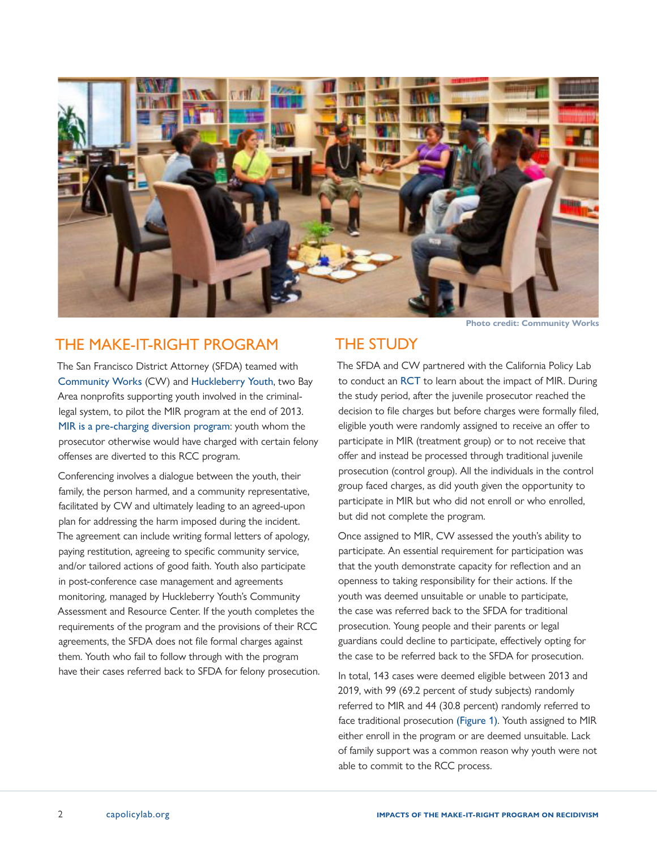

# THE MAKE-IT-RIGHT PROGRAM

The San Francisco District Attorney (SFDA) teamed with [Community Works](https://communityworkswest.org/) (CW) and [Huckleberry Youth](https://www.huckleberryyouth.org/), two Bay Area nonprofits supporting youth involved in the criminallegal system, to pilot the MIR program at the end of 2013. [MIR is a pre-charging diversion program](https://www.sfdistrictattorney.org/policy/restorative-justice/make-it-right/): youth whom the prosecutor otherwise would have charged with certain felony offenses are diverted to this RCC program.

Conferencing involves a dialogue between the youth, their family, the person harmed, and a community representative, facilitated by CW and ultimately leading to an agreed-upon plan for addressing the harm imposed during the incident. The agreement can include writing formal letters of apology, paying restitution, agreeing to specific community service, and/or tailored actions of good faith. Youth also participate in post-conference case management and agreements monitoring, managed by Huckleberry Youth's Community Assessment and Resource Center. If the youth completes the requirements of the program and the provisions of their RCC agreements, the SFDA does not file formal charges against them. Youth who fail to follow through with the program have their cases referred back to SFDA for felony prosecution.

**Photo credit: Community Works**

## THE STUDY

The SFDA and CW partnered with the California Policy Lab to conduct an [RCT](https://a2jlab.org/guest-post-evaluating-make-it-right/) to learn about the impact of MIR. During the study period, after the juvenile prosecutor reached the decision to file charges but before charges were formally filed, eligible youth were randomly assigned to receive an offer to participate in MIR (treatment group) or to not receive that offer and instead be processed through traditional juvenile prosecution (control group). All the individuals in the control group faced charges, as did youth given the opportunity to participate in MIR but who did not enroll or who enrolled, but did not complete the program.

Once assigned to MIR, CW assessed the youth's ability to participate. An essential requirement for participation was that the youth demonstrate capacity for reflection and an openness to taking responsibility for their actions. If the youth was deemed unsuitable or unable to participate, the case was referred back to the SFDA for traditional prosecution. Young people and their parents or legal guardians could decline to participate, effectively opting for the case to be referred back to the SFDA for prosecution.

In total, 143 cases were deemed eligible between 2013 and 2019, with 99 (69.2 percent of study subjects) randomly referred to MIR and 44 (30.8 percent) randomly referred to face traditional prosecution (Figure 1). Youth assigned to MIR either enroll in the program or are deemed unsuitable. Lack of family support was a common reason why youth were not able to commit to the RCC process.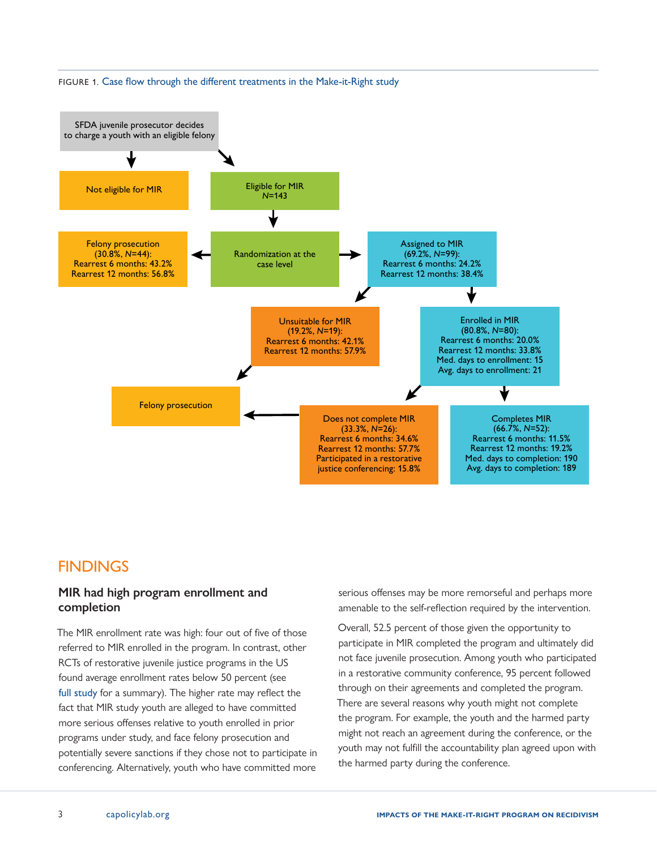

#### <span id="page-2-0"></span>FIGURE 1. Case flow through the different treatments in the Make-it-Right study

# **FINDINGS**

## **MIR had high program enrollment and completion**

The MIR enrollment rate was high: four out of five of those referred to MIR enrolled in the program. In contrast, other RCTs of restorative juvenile justice programs in the US found average enrollment rates below 50 percent (see [full study](https://www.nber.org/papers/w29150) for a summary). The higher rate may reflect the fact that MIR study youth are alleged to have committed more serious offenses relative to youth enrolled in prior programs under study, and face felony prosecution and potentially severe sanctions if they chose not to participate in conferencing. Alternatively, youth who have committed more serious offenses may be more remorseful and perhaps more amenable to the self-reflection required by the intervention.

Overall, 52.5 percent of those given the opportunity to participate in MIR completed the program and ultimately did not face juvenile prosecution. Among youth who participated in a restorative community conference, 95 percent followed through on their agreements and completed the program. There are several reasons why youth might not complete the program. For example, the youth and the harmed party might not reach an agreement during the conference, or the youth may not fulfill the accountability plan agreed upon with the harmed party during the conference.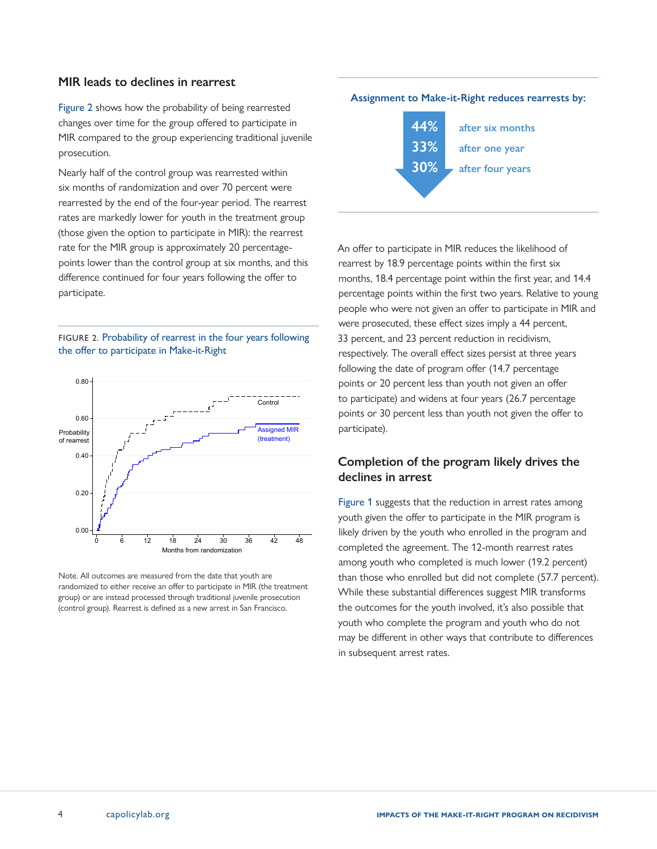### **MIR leads to declines in rearrest**

Figure 2 shows how the probability of being rearrested changes over time for the group offered to participate in MIR compared to the group experiencing traditional juvenile prosecution.

Nearly half of the control group was rearrested within six months of randomization and over 70 percent were rearrested by the end of the four-year period. The rearrest rates are markedly lower for youth in the treatment group (those given the option to participate in MIR): the rearrest rate for the MIR group is approximately 20 percentagepoints lower than the control group at six months, and this difference continued for four years following the offer to participate.

#### FIGURE 2. Probability of rearrest in the four years following the offer to participate in Make-it-Right



Note. All outcomes are measured from the date that youth are randomized to either receive an offer to participate in MIR (the treatment group) or are instead processed through traditional juvenile prosecution (control group). Rearrest is defined as a new arrest in San Francisco.

### **Assignment to Make-it-Right reduces rearrests by:**



An offer to participate in MIR reduces the likelihood of rearrest by 18.9 percentage points within the first six months, 18.4 percentage point within the first year, and 14.4 percentage points within the first two years. Relative to young people who were not given an offer to participate in MIR and were prosecuted, these effect sizes imply a 44 percent, 33 percent, and 23 percent reduction in recidivism, respectively. The overall effect sizes persist at three years following the date of program offer (14.7 percentage points or 20 percent less than youth not given an offer to participate) and widens at four years (26.7 percentage points or 30 percent less than youth not given the offer to participate).

## **Completion of the program likely drives the declines in arrest**

[Figure 1](#page-2-0) suggests that the reduction in arrest rates among youth given the offer to participate in the MIR program is likely driven by the youth who enrolled in the program and completed the agreement. The 12-month rearrest rates among youth who completed is much lower (19.2 percent) than those who enrolled but did not complete (57.7 percent). While these substantial differences suggest MIR transforms the outcomes for the youth involved, it's also possible that youth who complete the program and youth who do not may be different in other ways that contribute to differences in subsequent arrest rates.